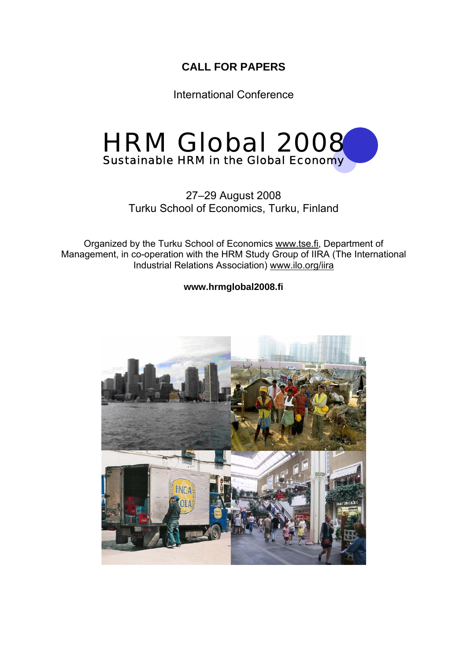## **CALL FOR PAPERS**

International Conference



## 27–29 August 2008 Turku School of Economics, Turku, Finland

Organized by the Turku School of Economics www.tse.fi, Department of Management, in co-operation with the HRM Study Group of IIRA (The International Industrial Relations Association) www.ilo.org/iira

**www.hrmglobal2008.fi** 

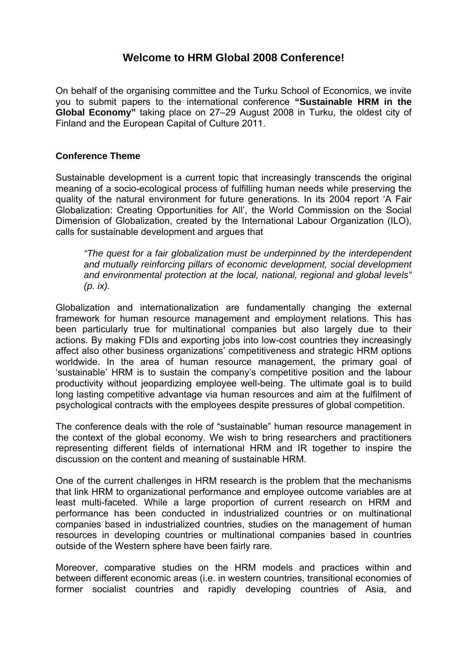## **Welcome to HRM Global 2008 Conference!**

On behalf of the organising committee and the Turku School of Economics, we invite you to submit papers to the international conference **"Sustainable HRM in the Global Economy"** taking place on 27–29 August 2008 in Turku, the oldest city of Finland and the European Capital of Culture 2011.

#### **Conference Theme**

Sustainable development is a current topic that increasingly transcends the original meaning of a socio-ecological process of fulfilling human needs while preserving the quality of the natural environment for future generations. In its 2004 report 'A Fair Globalization: Creating Opportunities for All', the World Commission on the Social Dimension of Globalization, created by the International Labour Organization (ILO), calls for sustainable development and argues that

*"The quest for a fair globalization must be underpinned by the interdependent and mutually reinforcing pillars of economic development, social development and environmental protection at the local, national, regional and global levels" (p. ix).* 

Globalization and internationalization are fundamentally changing the external framework for human resource management and employment relations. This has been particularly true for multinational companies but also largely due to their actions. By making FDIs and exporting jobs into low-cost countries they increasingly affect also other business organizations' competitiveness and strategic HRM options worldwide. In the area of human resource management, the primary goal of 'sustainable' HRM is to sustain the company's competitive position and the labour productivity without jeopardizing employee well-being. The ultimate goal is to build long lasting competitive advantage via human resources and aim at the fulfilment of psychological contracts with the employees despite pressures of global competition.

The conference deals with the role of "sustainable" human resource management in the context of the global economy. We wish to bring researchers and practitioners representing different fields of international HRM and IR together to inspire the discussion on the content and meaning of sustainable HRM.

One of the current challenges in HRM research is the problem that the mechanisms that link HRM to organizational performance and employee outcome variables are at least multi-faceted. While a large proportion of current research on HRM and performance has been conducted in industrialized countries or on multinational companies based in industrialized countries, studies on the management of human resources in developing countries or multinational companies based in countries outside of the Western sphere have been fairly rare.

Moreover, comparative studies on the HRM models and practices within and between different economic areas (i.e. in western countries, transitional economies of former socialist countries and rapidly developing countries of Asia, and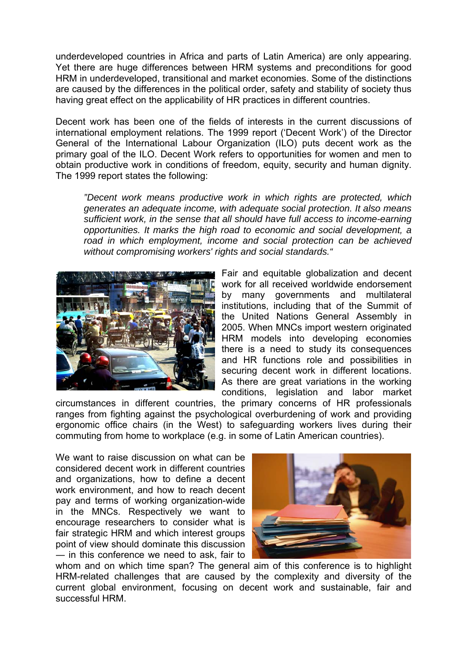underdeveloped countries in Africa and parts of Latin America) are only appearing. Yet there are huge differences between HRM systems and preconditions for good HRM in underdeveloped, transitional and market economies. Some of the distinctions are caused by the differences in the political order, safety and stability of society thus having great effect on the applicability of HR practices in different countries.

Decent work has been one of the fields of interests in the current discussions of international employment relations. The 1999 report ('Decent Work') of the Director General of the International Labour Organization (ILO) puts decent work as the primary goal of the ILO. Decent Work refers to opportunities for women and men to obtain productive work in conditions of freedom, equity, security and human dignity. The 1999 report states the following:

*"Decent work means productive work in which rights are protected, which generates an adequate income, with adequate social protection. It also means sufficient work, in the sense that all should have full access to income-earning opportunities. It marks the high road to economic and social development, a road in which employment, income and social protection can be achieved without compromising workers' rights and social standards."* 



Fair and equitable globalization and decent work for all received worldwide endorsement by many governments and multilateral institutions, including that of the Summit of the United Nations General Assembly in 2005. When MNCs import western originated HRM models into developing economies there is a need to study its consequences and HR functions role and possibilities in securing decent work in different locations. As there are great variations in the working conditions, legislation and labor market

circumstances in different countries, the primary concerns of HR professionals ranges from fighting against the psychological overburdening of work and providing ergonomic office chairs (in the West) to safeguarding workers lives during their commuting from home to workplace (e.g. in some of Latin American countries).

We want to raise discussion on what can be considered decent work in different countries and organizations, how to define a decent work environment, and how to reach decent pay and terms of working organization-wide in the MNCs. Respectively we want to encourage researchers to consider what is fair strategic HRM and which interest groups point of view should dominate this discussion ― in this conference we need to ask, fair to



whom and on which time span? The general aim of this conference is to highlight HRM-related challenges that are caused by the complexity and diversity of the current global environment, focusing on decent work and sustainable, fair and successful HRM.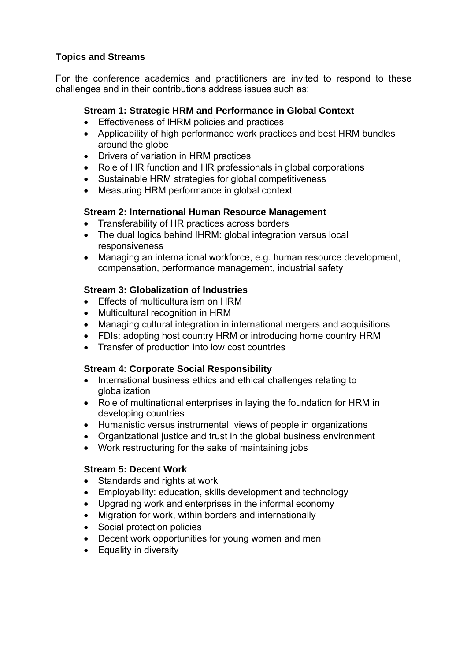#### **Topics and Streams**

For the conference academics and practitioners are invited to respond to these challenges and in their contributions address issues such as:

#### **Stream 1: Strategic HRM and Performance in Global Context**

- Effectiveness of IHRM policies and practices
- Applicability of high performance work practices and best HRM bundles around the globe
- Drivers of variation in HRM practices
- Role of HR function and HR professionals in global corporations
- Sustainable HRM strategies for global competitiveness
- Measuring HRM performance in global context

#### **Stream 2: International Human Resource Management**

- Transferability of HR practices across borders
- The dual logics behind IHRM: global integration versus local responsiveness
- Managing an international workforce, e.g. human resource development, compensation, performance management, industrial safety

#### **Stream 3: Globalization of Industries**

- Effects of multiculturalism on HRM
- Multicultural recognition in HRM
- Managing cultural integration in international mergers and acquisitions
- FDIs: adopting host country HRM or introducing home country HRM
- Transfer of production into low cost countries

#### **Stream 4: Corporate Social Responsibility**

- International business ethics and ethical challenges relating to globalization
- Role of multinational enterprises in laying the foundation for HRM in developing countries
- Humanistic versus instrumental views of people in organizations
- Organizational justice and trust in the global business environment
- Work restructuring for the sake of maintaining jobs

#### **Stream 5: Decent Work**

- Standards and rights at work
- Employability: education, skills development and technology
- Upgrading work and enterprises in the informal economy
- Migration for work, within borders and internationally
- Social protection policies
- Decent work opportunities for young women and men
- Equality in diversity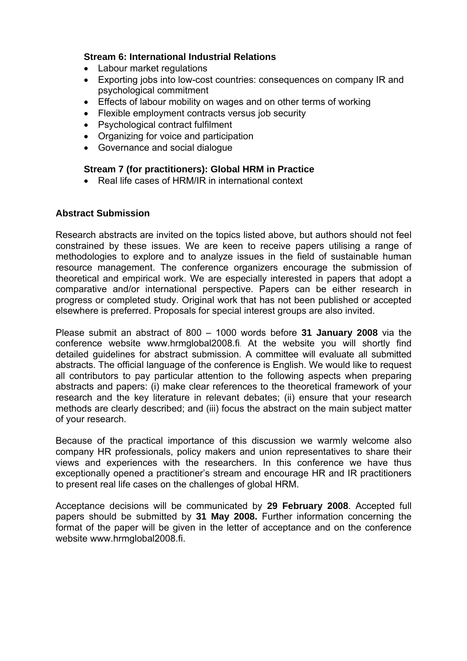#### **Stream 6: International Industrial Relations**

- Labour market regulations
- Exporting jobs into low-cost countries: consequences on company IR and psychological commitment
- Effects of labour mobility on wages and on other terms of working
- Flexible employment contracts versus job security
- Psychological contract fulfilment
- Organizing for voice and participation
- Governance and social dialogue

#### **Stream 7 (for practitioners): Global HRM in Practice**

• Real life cases of HRM/IR in international context

#### **Abstract Submission**

Research abstracts are invited on the topics listed above, but authors should not feel constrained by these issues. We are keen to receive papers utilising a range of methodologies to explore and to analyze issues in the field of sustainable human resource management. The conference organizers encourage the submission of theoretical and empirical work. We are especially interested in papers that adopt a comparative and/or international perspective. Papers can be either research in progress or completed study. Original work that has not been published or accepted elsewhere is preferred. Proposals for special interest groups are also invited.

Please submit an abstract of 800 – 1000 words before **31 January 2008** via the conference website www.hrmglobal2008.fi. At the website you will shortly find detailed guidelines for abstract submission. A committee will evaluate all submitted abstracts. The official language of the conference is English. We would like to request all contributors to pay particular attention to the following aspects when preparing abstracts and papers: (i) make clear references to the theoretical framework of your research and the key literature in relevant debates; (ii) ensure that your research methods are clearly described; and (iii) focus the abstract on the main subject matter of your research.

Because of the practical importance of this discussion we warmly welcome also company HR professionals, policy makers and union representatives to share their views and experiences with the researchers. In this conference we have thus exceptionally opened a practitioner's stream and encourage HR and IR practitioners to present real life cases on the challenges of global HRM.

Acceptance decisions will be communicated by **29 February 2008**. Accepted full papers should be submitted by **31 May 2008.** Further information concerning the format of the paper will be given in the letter of acceptance and on the conference website www.hrmglobal2008.fi.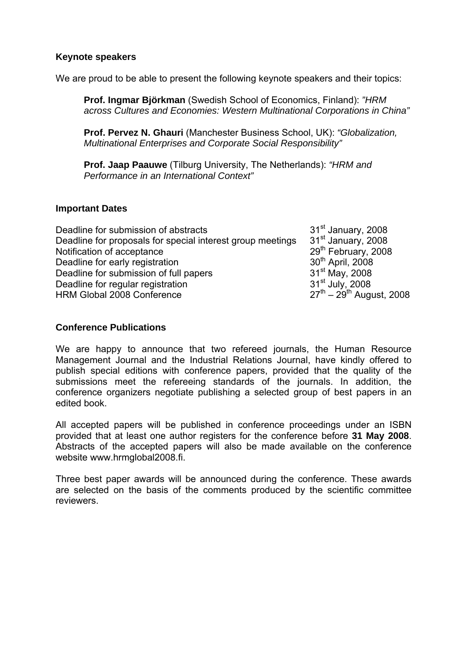#### **Keynote speakers**

We are proud to be able to present the following keynote speakers and their topics:

**Prof. Ingmar Björkman** (Swedish School of Economics, Finland): *"HRM across Cultures and Economies: Western Multinational Corporations in China"*

**Prof. Pervez N. Ghauri** (Manchester Business School, UK): *"Globalization, Multinational Enterprises and Corporate Social Responsibility"*

**Prof. Jaap Paauwe** (Tilburg University, The Netherlands): *"HRM and Performance in an International Context"*

#### **Important Dates**

| Deadline for submission of abstracts                       | 31 <sup>st</sup> January, 2008   |
|------------------------------------------------------------|----------------------------------|
| Deadline for proposals for special interest group meetings | 31 <sup>st</sup> January, 2008   |
| Notification of acceptance                                 | 29 <sup>th</sup> February, 2008  |
| Deadline for early registration                            | 30 <sup>th</sup> April, 2008     |
| Deadline for submission of full papers                     | $31^{st}$ May, 2008              |
| Deadline for regular registration                          | 31 <sup>st</sup> July, 2008      |
| HRM Global 2008 Conference                                 | $27^{th} - 29^{th}$ August, 2008 |

#### **Conference Publications**

We are happy to announce that two refereed journals, the Human Resource Management Journal and the Industrial Relations Journal, have kindly offered to publish special editions with conference papers, provided that the quality of the submissions meet the refereeing standards of the journals. In addition, the conference organizers negotiate publishing a selected group of best papers in an edited book.

All accepted papers will be published in conference proceedings under an ISBN provided that at least one author registers for the conference before **31 May 2008**. Abstracts of the accepted papers will also be made available on the conference website www.hrmglobal2008.fi.

Three best paper awards will be announced during the conference. These awards are selected on the basis of the comments produced by the scientific committee reviewers.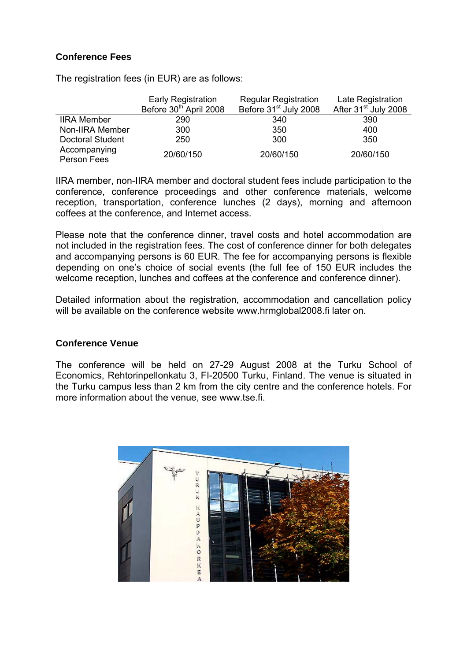#### **Conference Fees**

The registration fees (in EUR) are as follows:

|                         | <b>Early Registration</b><br>Before 30 <sup>th</sup> April 2008 | <b>Regular Registration</b><br>Before 31 <sup>st</sup> July 2008 | Late Registration<br>After 31 <sup>st</sup> July 2008 |
|-------------------------|-----------------------------------------------------------------|------------------------------------------------------------------|-------------------------------------------------------|
|                         |                                                                 |                                                                  |                                                       |
| <b>IIRA Member</b>      | 290                                                             | 340                                                              | 390                                                   |
| Non-IIRA Member         | 300                                                             | 350                                                              | 400                                                   |
| <b>Doctoral Student</b> | 250                                                             | 300                                                              | 350                                                   |
| Accompanying            | 20/60/150                                                       | 20/60/150                                                        | 20/60/150                                             |
| Person Fees             |                                                                 |                                                                  |                                                       |

IIRA member, non-IIRA member and doctoral student fees include participation to the conference, conference proceedings and other conference materials, welcome reception, transportation, conference lunches (2 days), morning and afternoon coffees at the conference, and Internet access.

Please note that the conference dinner, travel costs and hotel accommodation are not included in the registration fees. The cost of conference dinner for both delegates and accompanying persons is 60 EUR. The fee for accompanying persons is flexible depending on one's choice of social events (the full fee of 150 EUR includes the welcome reception, lunches and coffees at the conference and conference dinner).

Detailed information about the registration, accommodation and cancellation policy will be available on the conference website www.hrmglobal2008.fi later on.

#### **Conference Venue**

The conference will be held on 27-29 August 2008 at the Turku School of Economics, Rehtorinpellonkatu 3, FI-20500 Turku, Finland. The venue is situated in the Turku campus less than 2 km from the city centre and the conference hotels. For more information about the venue, see www.tse.fi.

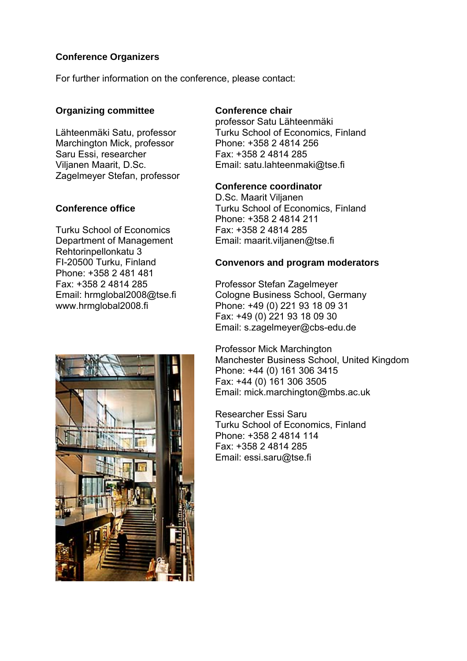## **Conference Organizers**

For further information on the conference, please contact:

## **Organizing committee**

Lähteenmäki Satu, professor Marchington Mick, professor Saru Essi, researcher Viljanen Maarit, D.Sc. Zagelmeyer Stefan, professor

## **Conference office**

Turku School of Economics Department of Management Rehtorinpellonkatu 3 FI-20500 Turku, Finland Phone: +358 2 481 481 Fax: +358 2 4814 285 Email: hrmglobal2008@tse.fi www.hrmglobal2008.fi



## **Conference chair**

professor Satu Lähteenmäki Turku School of Economics, Finland Phone: +358 2 4814 256 Fax: +358 2 4814 285 Email: satu.lahteenmaki@tse.fi

#### **Conference coordinator**

D.Sc. Maarit Viljanen Turku School of Economics, Finland Phone: +358 2 4814 211 Fax: +358 2 4814 285 Email: maarit.viljanen@tse.fi

### **Convenors and program moderators**

Professor Stefan Zagelmeyer Cologne Business School, Germany Phone: +49 (0) 221 93 18 09 31 Fax: +49 (0) 221 93 18 09 30 Email: s.zagelmeyer@cbs-edu.de

Professor Mick Marchington Manchester Business School, United Kingdom Phone: +44 (0) 161 306 3415 Fax: +44 (0) 161 306 3505 Email: mick.marchington@mbs.ac.uk

Researcher Essi Saru Turku School of Economics, Finland Phone: +358 2 4814 114 Fax: +358 2 4814 285 Email: essi.saru@tse.fi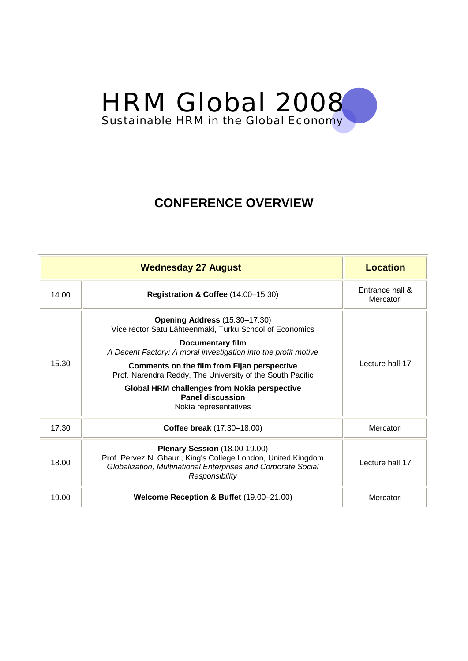

# **CONFERENCE OVERVIEW**

|       | <b>Wednesday 27 August</b>                                                                                                                                                                                                                                                                                                                                                                                   | <b>Location</b>              |
|-------|--------------------------------------------------------------------------------------------------------------------------------------------------------------------------------------------------------------------------------------------------------------------------------------------------------------------------------------------------------------------------------------------------------------|------------------------------|
| 14.00 | Registration & Coffee (14.00-15.30)                                                                                                                                                                                                                                                                                                                                                                          | Entrance hall &<br>Mercatori |
| 15.30 | Opening Address (15.30–17.30)<br>Vice rector Satu Lähteenmäki, Turku School of Economics<br><b>Documentary film</b><br>A Decent Factory: A moral investigation into the profit motive<br>Comments on the film from Fijan perspective<br>Prof. Narendra Reddy, The University of the South Pacific<br><b>Global HRM challenges from Nokia perspective</b><br><b>Panel discussion</b><br>Nokia representatives | Lecture hall 17              |
| 17.30 | Coffee break (17.30-18.00)                                                                                                                                                                                                                                                                                                                                                                                   | Mercatori                    |
| 18.00 | Plenary Session (18.00-19.00)<br>Prof. Pervez N. Ghauri, King's College London, United Kingdom<br>Globalization, Multinational Enterprises and Corporate Social<br>Responsibility                                                                                                                                                                                                                            | Lecture hall 17              |
| 19.00 | Welcome Reception & Buffet (19.00-21.00)                                                                                                                                                                                                                                                                                                                                                                     | Mercatori                    |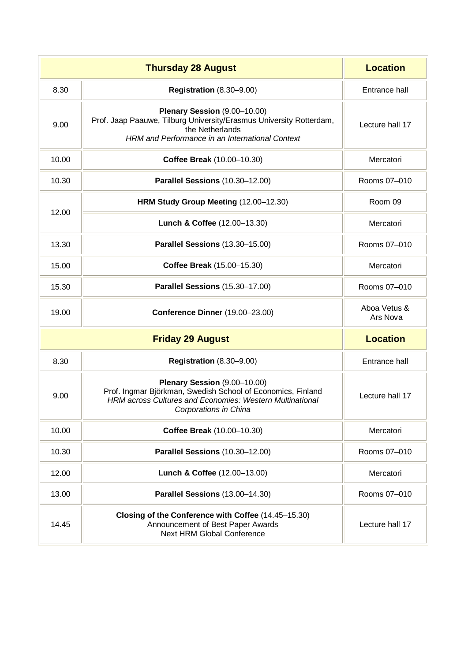|       | <b>Thursday 28 August</b>                                                                                                                                                               | <b>Location</b>          |
|-------|-----------------------------------------------------------------------------------------------------------------------------------------------------------------------------------------|--------------------------|
| 8.30  | <b>Registration (8.30-9.00)</b>                                                                                                                                                         | Entrance hall            |
| 9.00  | Plenary Session (9.00-10.00)<br>Prof. Jaap Paauwe, Tilburg University/Erasmus University Rotterdam,<br>the Netherlands<br>HRM and Performance in an International Context               | Lecture hall 17          |
| 10.00 | Coffee Break (10.00-10.30)                                                                                                                                                              | Mercatori                |
| 10.30 | Parallel Sessions (10.30-12.00)                                                                                                                                                         | Rooms 07-010             |
|       | HRM Study Group Meeting (12.00-12.30)                                                                                                                                                   | Room 09                  |
| 12.00 | Lunch & Coffee (12.00-13.30)                                                                                                                                                            | Mercatori                |
| 13.30 | Parallel Sessions (13.30-15.00)                                                                                                                                                         | Rooms 07-010             |
| 15.00 | Coffee Break (15.00-15.30)                                                                                                                                                              | Mercatori                |
| 15.30 | Parallel Sessions (15.30-17.00)                                                                                                                                                         | Rooms 07-010             |
| 19.00 | Conference Dinner (19.00-23.00)                                                                                                                                                         | Aboa Vetus &<br>Ars Nova |
|       | <b>Friday 29 August</b>                                                                                                                                                                 | <b>Location</b>          |
| 8.30  | <b>Registration (8.30-9.00)</b>                                                                                                                                                         | Entrance hall            |
| 9.00  | Plenary Session (9.00-10.00)<br>Prof. Ingmar Björkman, Swedish School of Economics, Finland<br><b>HRM</b> across Cultures and Economies: Western Multinational<br>Corporations in China | Lecture hall 17          |
| 10.00 | Coffee Break (10.00-10.30)                                                                                                                                                              | Mercatori                |
| 10.30 | Parallel Sessions (10.30-12.00)                                                                                                                                                         | Rooms 07-010             |
| 12.00 | Lunch & Coffee (12.00-13.00)                                                                                                                                                            | Mercatori                |
| 13.00 | Parallel Sessions (13.00-14.30)                                                                                                                                                         | Rooms 07-010             |
| 14.45 | Closing of the Conference with Coffee (14.45-15.30)<br>Announcement of Best Paper Awards<br><b>Next HRM Global Conference</b>                                                           | Lecture hall 17          |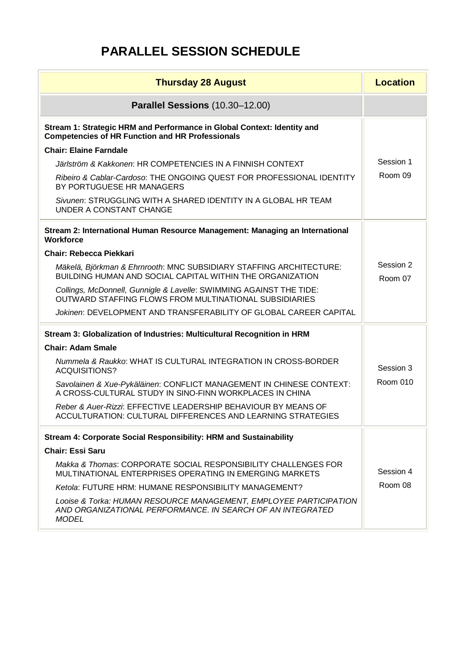# **PARALLEL SESSION SCHEDULE**

| <b>Thursday 28 August</b>                                                                                                                       | <b>Location</b>      |
|-------------------------------------------------------------------------------------------------------------------------------------------------|----------------------|
| Parallel Sessions (10.30-12.00)                                                                                                                 |                      |
| Stream 1: Strategic HRM and Performance in Global Context: Identity and<br><b>Competencies of HR Function and HR Professionals</b>              |                      |
| <b>Chair: Elaine Farndale</b>                                                                                                                   |                      |
| Järlström & Kakkonen: HR COMPETENCIES IN A FINNISH CONTEXT                                                                                      | Session 1            |
| Ribeiro & Cablar-Cardoso: THE ONGOING QUEST FOR PROFESSIONAL IDENTITY<br>BY PORTUGUESE HR MANAGERS                                              | Room 09              |
| Sivunen: STRUGGLING WITH A SHARED IDENTITY IN A GLOBAL HR TEAM<br>UNDER A CONSTANT CHANGE                                                       |                      |
| Stream 2: International Human Resource Management: Managing an International<br><b>Workforce</b>                                                |                      |
| <b>Chair: Rebecca Piekkari</b>                                                                                                                  |                      |
| Mäkelä, Björkman & Ehrnrooth: MNC SUBSIDIARY STAFFING ARCHITECTURE:<br>BUILDING HUMAN AND SOCIAL CAPITAL WITHIN THE ORGANIZATION                | Session 2<br>Room 07 |
| Collings, McDonnell, Gunnigle & Lavelle: SWIMMING AGAINST THE TIDE:<br>OUTWARD STAFFING FLOWS FROM MULTINATIONAL SUBSIDIARIES                   |                      |
| Jokinen: DEVELOPMENT AND TRANSFERABILITY OF GLOBAL CAREER CAPITAL                                                                               |                      |
| Stream 3: Globalization of Industries: Multicultural Recognition in HRM                                                                         |                      |
| <b>Chair: Adam Smale</b>                                                                                                                        |                      |
| Nummela & Raukko: WHAT IS CULTURAL INTEGRATION IN CROSS-BORDER<br><b>ACQUISITIONS?</b>                                                          | Session 3            |
| Savolainen & Xue-Pykäläinen: CONFLICT MANAGEMENT IN CHINESE CONTEXT:<br>A CROSS-CULTURAL STUDY IN SINO-FINN WORKPLACES IN CHINA                 | <b>Room 010</b>      |
| Reber & Auer-Rizzi: EFFECTIVE LEADERSHIP BEHAVIOUR BY MEANS OF<br><b>ACCULTURATION: CULTURAL DIFFERENCES AND LEARNING STRATEGIES</b>            |                      |
| Stream 4: Corporate Social Responsibility: HRM and Sustainability                                                                               |                      |
| <b>Chair: Essi Saru</b>                                                                                                                         |                      |
| Makka & Thomas: CORPORATE SOCIAL RESPONSIBILITY CHALLENGES FOR<br>MULTINATIONAL ENTERPRISES OPERATING IN EMERGING MARKETS                       | Session 4            |
| Ketola: FUTURE HRM: HUMANE RESPONSIBILITY MANAGEMENT?                                                                                           | Room 08              |
| Looise & Torka: HUMAN RESOURCE MANAGEMENT, EMPLOYEE PARTICIPATION<br>AND ORGANIZATIONAL PERFORMANCE. IN SEARCH OF AN INTEGRATED<br><b>MODEL</b> |                      |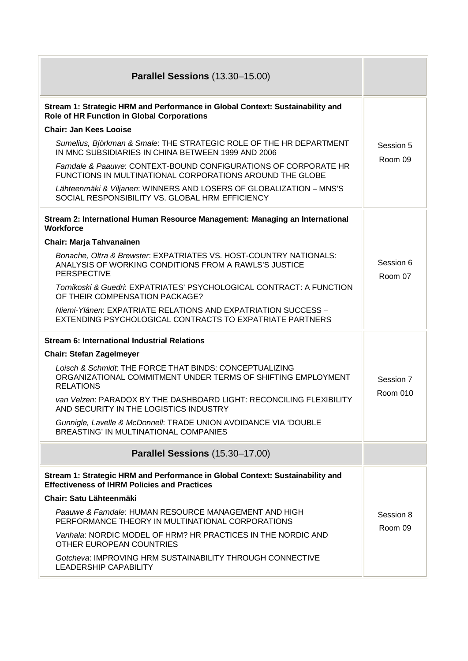| <b>Parallel Sessions (13.30-15.00)</b>                                                                                                            |                      |
|---------------------------------------------------------------------------------------------------------------------------------------------------|----------------------|
| Stream 1: Strategic HRM and Performance in Global Context: Sustainability and<br>Role of HR Function in Global Corporations                       |                      |
| <b>Chair: Jan Kees Looise</b>                                                                                                                     |                      |
| Sumelius, Björkman & Smale: THE STRATEGIC ROLE OF THE HR DEPARTMENT<br>IN MNC SUBSIDIARIES IN CHINA BETWEEN 1999 AND 2006                         | Session 5<br>Room 09 |
| Farndale & Paauwe: CONTEXT-BOUND CONFIGURATIONS OF CORPORATE HR<br>FUNCTIONS IN MULTINATIONAL CORPORATIONS AROUND THE GLOBE                       |                      |
| Lähteenmäki & Viljanen: WINNERS AND LOSERS OF GLOBALIZATION - MNS'S<br>SOCIAL RESPONSIBILITY VS. GLOBAL HRM EFFICIENCY                            |                      |
| Stream 2: International Human Resource Management: Managing an International<br><b>Workforce</b>                                                  |                      |
| <b>Chair: Marja Tahvanainen</b>                                                                                                                   |                      |
| Bonache, Oltra & Brewster. EXPATRIATES VS. HOST-COUNTRY NATIONALS:<br>ANALYSIS OF WORKING CONDITIONS FROM A RAWLS'S JUSTICE<br><b>PERSPECTIVE</b> | Session 6<br>Room 07 |
| Tornikoski & Guedri: EXPATRIATES' PSYCHOLOGICAL CONTRACT: A FUNCTION<br>OF THEIR COMPENSATION PACKAGE?                                            |                      |
| Niemi-Ylänen: EXPATRIATE RELATIONS AND EXPATRIATION SUCCESS -<br>EXTENDING PSYCHOLOGICAL CONTRACTS TO EXPATRIATE PARTNERS                         |                      |
| <b>Stream 6: International Industrial Relations</b>                                                                                               |                      |
| <b>Chair: Stefan Zagelmeyer</b>                                                                                                                   |                      |
| Loisch & Schmidt. THE FORCE THAT BINDS: CONCEPTUALIZING<br>ORGANIZATIONAL COMMITMENT UNDER TERMS OF SHIFTING EMPLOYMENT<br><b>RELATIONS</b>       | Session 7            |
| van Velzen: PARADOX BY THE DASHBOARD LIGHT: RECONCILING FLEXIBILITY<br>AND SECURITY IN THE LOGISTICS INDUSTRY                                     | <b>Room 010</b>      |
| Gunnigle, Lavelle & McDonnell: TRADE UNION AVOIDANCE VIA 'DOUBLE<br>BREASTING' IN MULTINATIONAL COMPANIES                                         |                      |
| Parallel Sessions (15.30-17.00)                                                                                                                   |                      |
| Stream 1: Strategic HRM and Performance in Global Context: Sustainability and<br><b>Effectiveness of IHRM Policies and Practices</b>              |                      |
| Chair: Satu Lähteenmäki                                                                                                                           |                      |
| Paauwe & Farndale: HUMAN RESOURCE MANAGEMENT AND HIGH<br>PERFORMANCE THEORY IN MULTINATIONAL CORPORATIONS                                         | Session 8<br>Room 09 |
| Vanhala: NORDIC MODEL OF HRM? HR PRACTICES IN THE NORDIC AND<br>OTHER EUROPEAN COUNTRIES                                                          |                      |
| Gotcheva: IMPROVING HRM SUSTAINABILITY THROUGH CONNECTIVE<br><b>LEADERSHIP CAPABILITY</b>                                                         |                      |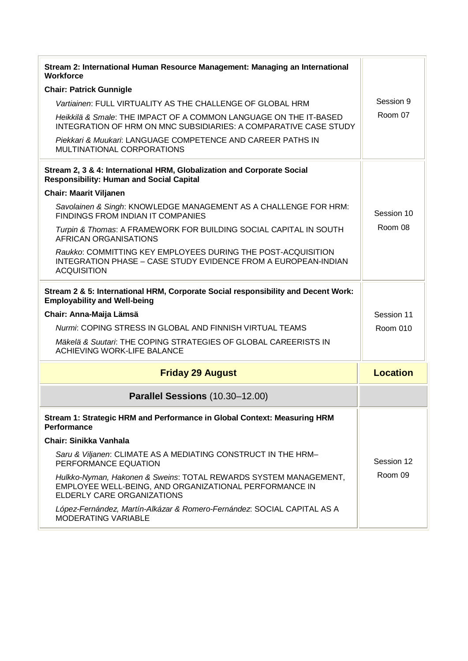| Stream 2: International Human Resource Management: Managing an International<br><b>Workforce</b>                                                         |                 |
|----------------------------------------------------------------------------------------------------------------------------------------------------------|-----------------|
| <b>Chair: Patrick Gunnigle</b>                                                                                                                           |                 |
| Vartiainen: FULL VIRTUALITY AS THE CHALLENGE OF GLOBAL HRM                                                                                               | Session 9       |
| Heikkilä & Smale: THE IMPACT OF A COMMON LANGUAGE ON THE IT-BASED<br>INTEGRATION OF HRM ON MNC SUBSIDIARIES: A COMPARATIVE CASE STUDY                    | Room 07         |
| Piekkari & Muukari: LANGUAGE COMPETENCE AND CAREER PATHS IN<br>MULTINATIONAL CORPORATIONS                                                                |                 |
| Stream 2, 3 & 4: International HRM, Globalization and Corporate Social<br><b>Responsibility: Human and Social Capital</b>                                |                 |
| <b>Chair: Maarit Viljanen</b>                                                                                                                            |                 |
| Savolainen & Singh: KNOWLEDGE MANAGEMENT AS A CHALLENGE FOR HRM:<br><b>FINDINGS FROM INDIAN IT COMPANIES</b>                                             | Session 10      |
| Turpin & Thomas: A FRAMEWORK FOR BUILDING SOCIAL CAPITAL IN SOUTH<br><b>AFRICAN ORGANISATIONS</b>                                                        | Room 08         |
| Raukko: COMMITTING KEY EMPLOYEES DURING THE POST-ACQUISITION<br>INTEGRATION PHASE - CASE STUDY EVIDENCE FROM A EUROPEAN-INDIAN<br><b>ACQUISITION</b>     |                 |
| Stream 2 & 5: International HRM, Corporate Social responsibility and Decent Work:<br><b>Employability and Well-being</b>                                 |                 |
| Chair: Anna-Maija Lämsä                                                                                                                                  | Session 11      |
| Nurmi: COPING STRESS IN GLOBAL AND FINNISH VIRTUAL TEAMS                                                                                                 | Room 010        |
| Mäkelä & Suutari: THE COPING STRATEGIES OF GLOBAL CAREERISTS IN<br><b>ACHIEVING WORK-LIFE BALANCE</b>                                                    |                 |
| <b>Friday 29 August</b>                                                                                                                                  | <b>Location</b> |
| Parallel Sessions (10.30-12.00)                                                                                                                          |                 |
| Stream 1: Strategic HRM and Performance in Global Context: Measuring HRM<br><b>Performance</b>                                                           |                 |
| <b>Chair: Sinikka Vanhala</b>                                                                                                                            |                 |
| Saru & Viljanen: CLIMATE AS A MEDIATING CONSTRUCT IN THE HRM-<br>PERFORMANCE EQUATION                                                                    | Session 12      |
| Hulkko-Nyman, Hakonen & Sweins: TOTAL REWARDS SYSTEM MANAGEMENT,<br>EMPLOYEE WELL-BEING, AND ORGANIZATIONAL PERFORMANCE IN<br>ELDERLY CARE ORGANIZATIONS | Room 09         |
| López-Fernández, Martín-Alkázar & Romero-Fernández: SOCIAL CAPITAL AS A<br>MODERATING VARIABLE                                                           |                 |